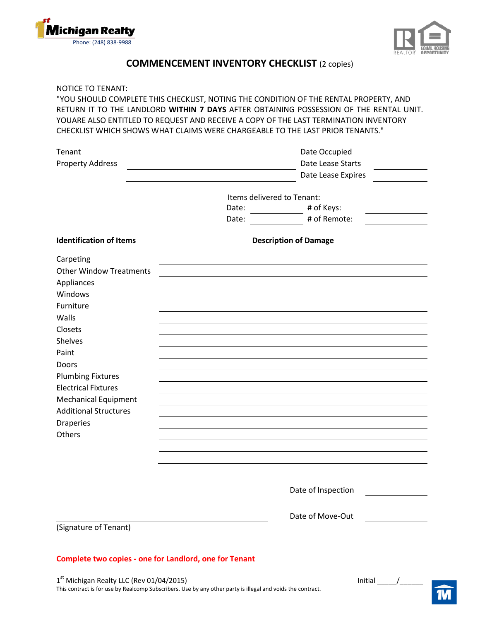



## **COMMENCEMENT INVENTORY CHECKLIST** (2 copies)

NOTICE TO TENANT:

"YOU SHOULD COMPLETE THIS CHECKLIST, NOTING THE CONDITION OF THE RENTAL PROPERTY, AND RETURN IT TO THE LANDLORD **WITHIN 7 DAYS** AFTER OBTAINING POSSESSION OF THE RENTAL UNIT. YOUARE ALSO ENTITLED TO REQUEST AND RECEIVE A COPY OF THE LAST TERMINATION INVENTORY CHECKLIST WHICH SHOWS WHAT CLAIMS WERE CHARGEABLE TO THE LAST PRIOR TENANTS."

| Date Lease Starts<br><b>Property Address</b><br>Date Lease Expires<br>Items delivered to Tenant:<br># of Keys:<br>Date:<br># of Remote:<br>Date:<br><b>Identification of Items</b><br><b>Description of Damage</b> |  |
|--------------------------------------------------------------------------------------------------------------------------------------------------------------------------------------------------------------------|--|
|                                                                                                                                                                                                                    |  |
|                                                                                                                                                                                                                    |  |
|                                                                                                                                                                                                                    |  |
|                                                                                                                                                                                                                    |  |
|                                                                                                                                                                                                                    |  |
|                                                                                                                                                                                                                    |  |
|                                                                                                                                                                                                                    |  |
| Carpeting                                                                                                                                                                                                          |  |
| <b>Other Window Treatments</b>                                                                                                                                                                                     |  |
| Appliances                                                                                                                                                                                                         |  |
| Windows                                                                                                                                                                                                            |  |
| Furniture                                                                                                                                                                                                          |  |
| Walls                                                                                                                                                                                                              |  |
| Closets                                                                                                                                                                                                            |  |
| Shelves                                                                                                                                                                                                            |  |
| Paint                                                                                                                                                                                                              |  |
| Doors                                                                                                                                                                                                              |  |
| <b>Plumbing Fixtures</b>                                                                                                                                                                                           |  |
| <b>Electrical Fixtures</b>                                                                                                                                                                                         |  |
| <b>Mechanical Equipment</b>                                                                                                                                                                                        |  |
| <b>Additional Structures</b>                                                                                                                                                                                       |  |
| <b>Draperies</b>                                                                                                                                                                                                   |  |
| Others                                                                                                                                                                                                             |  |
|                                                                                                                                                                                                                    |  |
|                                                                                                                                                                                                                    |  |
|                                                                                                                                                                                                                    |  |
| Date of Inspection                                                                                                                                                                                                 |  |
|                                                                                                                                                                                                                    |  |
| Date of Move-Out                                                                                                                                                                                                   |  |
| (Signature of Tenant)                                                                                                                                                                                              |  |
|                                                                                                                                                                                                                    |  |
| <b>Complete two copies - one for Landlord, one for Tenant</b>                                                                                                                                                      |  |
|                                                                                                                                                                                                                    |  |